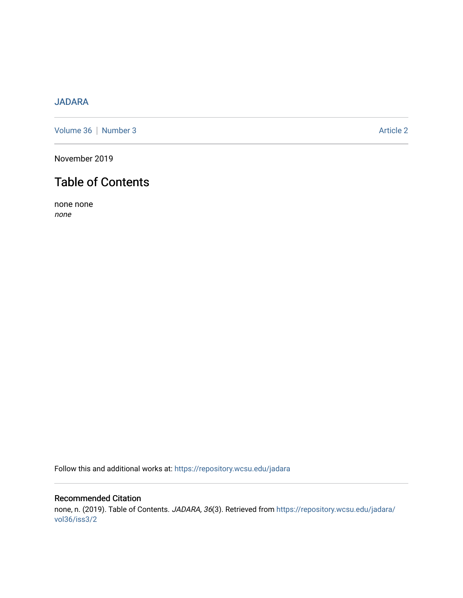# [JADARA](https://repository.wcsu.edu/jadara)

[Volume 36](https://repository.wcsu.edu/jadara/vol36) | [Number 3](https://repository.wcsu.edu/jadara/vol36/iss3) Article 2

November 2019

# Table of Contents

none none none

Follow this and additional works at: [https://repository.wcsu.edu/jadara](https://repository.wcsu.edu/jadara?utm_source=repository.wcsu.edu%2Fjadara%2Fvol36%2Fiss3%2F2&utm_medium=PDF&utm_campaign=PDFCoverPages)

## Recommended Citation none, n. (2019). Table of Contents. JADARA, 36(3). Retrieved from [https://repository.wcsu.edu/jadara/](https://repository.wcsu.edu/jadara/vol36/iss3/2?utm_source=repository.wcsu.edu%2Fjadara%2Fvol36%2Fiss3%2F2&utm_medium=PDF&utm_campaign=PDFCoverPages) [vol36/iss3/2](https://repository.wcsu.edu/jadara/vol36/iss3/2?utm_source=repository.wcsu.edu%2Fjadara%2Fvol36%2Fiss3%2F2&utm_medium=PDF&utm_campaign=PDFCoverPages)